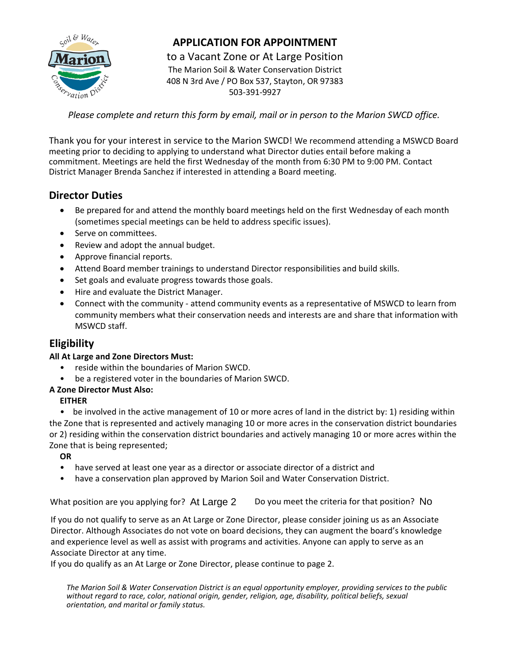

# **APPLICATION FOR APPOINTMENT**

to a Vacant Zone or At Large Position The Marion Soil & Water Conservation District 408 N 3rd Ave / PO Box 537, Stayton, OR 97383 503-391-9927

*Please complete and return this form by email, mail or in person to the Marion SWCD office.* 

Thank you for your interest in service to the Marion SWCD! We recommend attending a MSWCD Board meeting prior to deciding to applying to understand what Director duties entail before making a commitment. Meetings are held the first Wednesday of the month from 6:30 PM to 9:00 PM. Contact District Manager Brenda Sanchez if interested in attending a Board meeting.

## **Director Duties**

- Be prepared for and attend the monthly board meetings held on the first Wednesday of each month (sometimes special meetings can be held to address specific issues).
- Serve on committees.
- Review and adopt the annual budget.
- Approve financial reports.
- Attend Board member trainings to understand Director responsibilities and build skills.
- Set goals and evaluate progress towards those goals.
- Hire and evaluate the District Manager.
- Connect with the community attend community events as a representative of MSWCD to learn from community members what their conservation needs and interests are and share that information with MSWCD staff.

## **Eligibility**

### **All At Large and Zone Directors Must:**

- reside within the boundaries of Marion SWCD.
- be a registered voter in the boundaries of Marion SWCD.

### **A Zone Director Must Also:**

### **EITHER**

• be involved in the active management of 10 or more acres of land in the district by: 1) residing within the Zone that is represented and actively managing 10 or more acres in the conservation district boundaries or 2) residing within the conservation district boundaries and actively managing 10 or more acres within the Zone that is being represented;

### **OR**

- have served at least one year as a director or associate director of a district and
- have a conservation plan approved by Marion Soil and Water Conservation District.

What position are you applying for? At Large 2 Do you meet the criteria for that position? No

If you do not qualify to serve as an At Large or Zone Director, please consider joining us as an Associate Director. Although Associates do not vote on board decisions, they can augment the board's knowledge and experience level as well as assist with programs and activities. Anyone can apply to serve as an Associate Director at any time.

If you do qualify as an At Large or Zone Director, please continue to page 2.

*The Marion Soil & Water Conservation District is an equal opportunity employer, providing services to the public without regard to race, color, national origin, gender, religion, age, disability, political beliefs, sexual orientation, and marital or family status.*